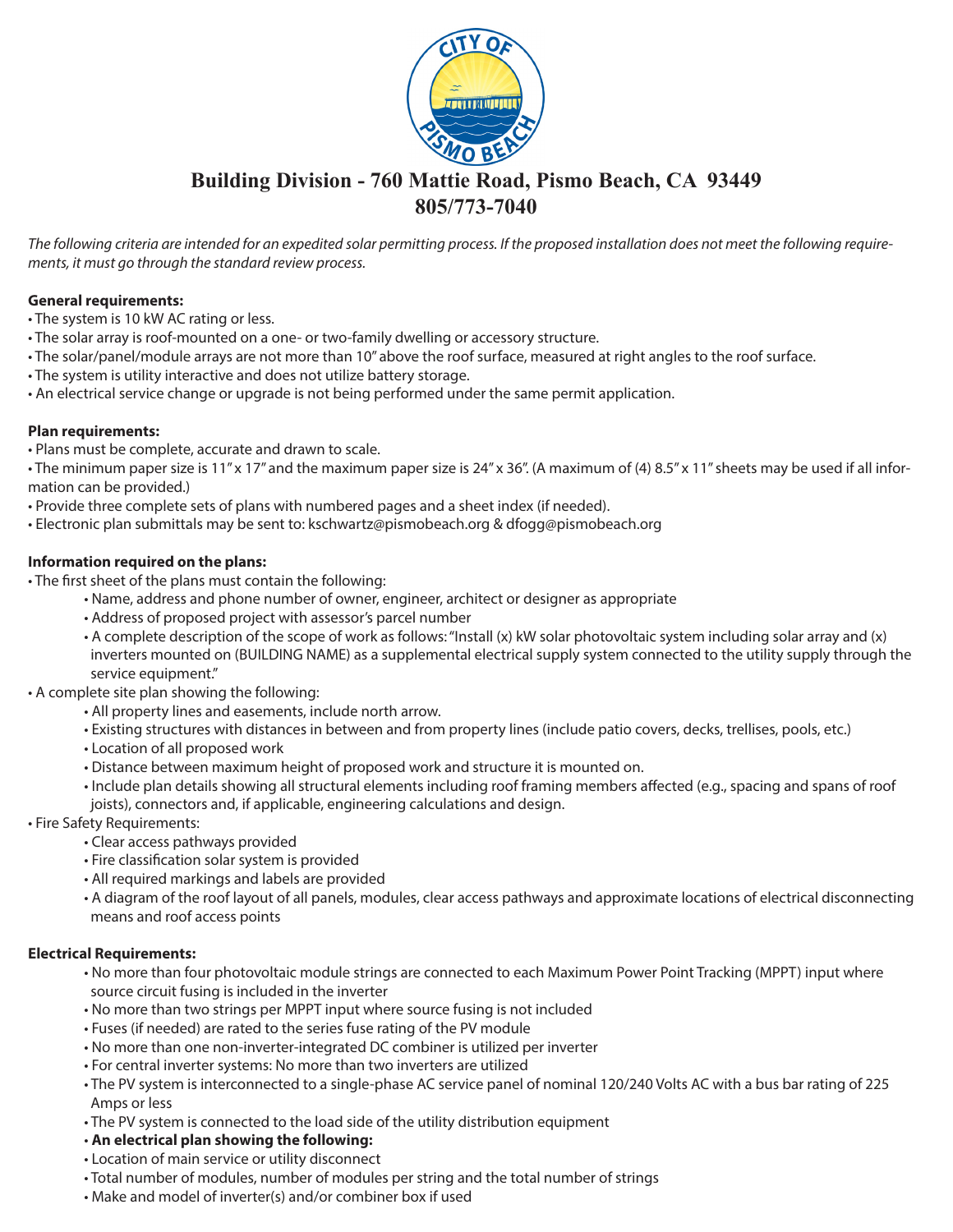

# **Building Division - 760 Mattie Road, Pismo Beach, CA 93449 805/773-7040**

*The following criteria are intended for an expedited solar permitting process. If the proposed installation does not meet the following requirements, it must go through the standard review process.* 

## **General requirements:**

- The system is 10 kW AC rating or less.
- The solar array is roof-mounted on a one- or two-family dwelling or accessory structure.
- The solar/panel/module arrays are not more than 10" above the roof surface, measured at right angles to the roof surface.
- The system is utility interactive and does not utilize battery storage.
- An electrical service change or upgrade is not being performed under the same permit application.

## **Plan requirements:**

• Plans must be complete, accurate and drawn to scale.

• The minimum paper size is 11" x 17" and the maximum paper size is 24" x 36". (A maximum of (4) 8.5" x 11" sheets may be used if all information can be provided.)

- Provide three complete sets of plans with numbered pages and a sheet index (if needed).
- Electronic plan submittals may be sent to: kschwartz@pismobeach.org & dfogg@pismobeach.org

## **Information required on the plans:**

• The first sheet of the plans must contain the following:

- Name, address and phone number of owner, engineer, architect or designer as appropriate
- Address of proposed project with assessor's parcel number
- A complete description of the scope of work as follows: "Install (x) kW solar photovoltaic system including solar array and (x) inverters mounted on (BUILDING NAME) as a supplemental electrical supply system connected to the utility supply through the service equipment."
- A complete site plan showing the following:
	- All property lines and easements, include north arrow.
	- Existing structures with distances in between and from property lines (include patio covers, decks, trellises, pools, etc.)
	- Location of all proposed work
	- Distance between maximum height of proposed work and structure it is mounted on.
	- Include plan details showing all structural elements including roof framing members affected (e.g., spacing and spans of roof joists), connectors and, if applicable, engineering calculations and design.
- Fire Safety Requirements:
	- Clear access pathways provided
	- Fire classification solar system is provided
	- All required markings and labels are provided
	- A diagram of the roof layout of all panels, modules, clear access pathways and approximate locations of electrical disconnecting means and roof access points

# **Electrical Requirements:**

- No more than four photovoltaic module strings are connected to each Maximum Power Point Tracking (MPPT) input where source circuit fusing is included in the inverter
- No more than two strings per MPPT input where source fusing is not included
- Fuses (if needed) are rated to the series fuse rating of the PV module
- No more than one non-inverter-integrated DC combiner is utilized per inverter
- For central inverter systems: No more than two inverters are utilized
- The PV system is interconnected to a single-phase AC service panel of nominal 120/240 Volts AC with a bus bar rating of 225 Amps or less
- The PV system is connected to the load side of the utility distribution equipment
- **An electrical plan showing the following:**
- Location of main service or utility disconnect
- Total number of modules, number of modules per string and the total number of strings
- Make and model of inverter(s) and/or combiner box if used